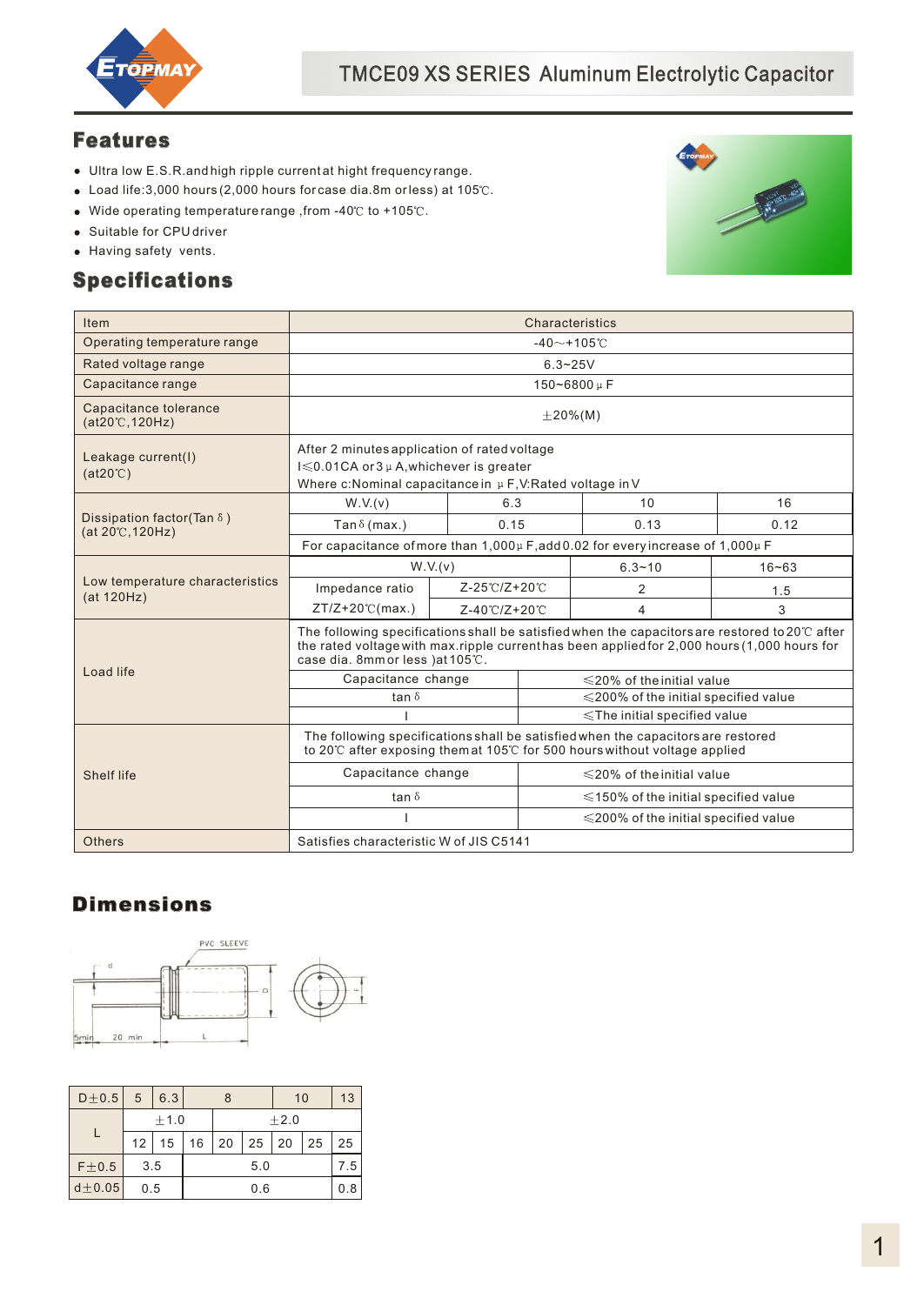

#### Features

- Ultra low E.S.R.and high ripple current at hight frequency range.
- $\bullet$  Load life:3,000 hours (2,000 hours for case dia.8m or less) at 105 $^\circ$ C.
- $\bullet$  Wide operating temperature range , from -40°C to +105°C.
- Suitable for CPU driver
- Having safety vents.

### Specifications



| Item                                                           | Characteristics                                                                                                                                                                                                                            |      |                                            |           |      |  |
|----------------------------------------------------------------|--------------------------------------------------------------------------------------------------------------------------------------------------------------------------------------------------------------------------------------------|------|--------------------------------------------|-----------|------|--|
| Operating temperature range                                    | $-40$ ~+105°C                                                                                                                                                                                                                              |      |                                            |           |      |  |
| Rated voltage range                                            |                                                                                                                                                                                                                                            |      | $6.3 - 25V$                                |           |      |  |
| Capacitance range                                              |                                                                                                                                                                                                                                            |      | 150~6800µF                                 |           |      |  |
| Capacitance tolerance<br>$(at20^{\circ}$ C, 120Hz)             |                                                                                                                                                                                                                                            |      | $±20\%$ (M)                                |           |      |  |
| Leakage current(I)<br>$(at20^{\circ}C)$                        | After 2 minutes application of rated voltage<br>I ≤ 0.01 CA or 3 µ A, whichever is greater<br>Where c: Nominal capacitance in µF, V: Rated voltage in V                                                                                    |      |                                            |           |      |  |
|                                                                | W.V.(v)                                                                                                                                                                                                                                    | 6.3  |                                            | 10        | 16   |  |
| Dissipation factor(Tan $\delta$ )<br>$(at 20^{\circ}C, 120Hz)$ | Tan $\delta$ (max.)                                                                                                                                                                                                                        | 0.15 |                                            | 0.13      | 0.12 |  |
|                                                                | For capacitance of more than $1,000\mu$ F, add 0.02 for every increase of 1,000 $\mu$ F                                                                                                                                                    |      |                                            |           |      |  |
|                                                                | W.V.(v)                                                                                                                                                                                                                                    |      | $6.3 - 10$                                 | $16 - 63$ |      |  |
| Low temperature characteristics<br>(at 120Hz)                  | Z-25°C/Z+20°C<br>Impedance ratio                                                                                                                                                                                                           |      |                                            | 2         | 1.5  |  |
|                                                                | $ZT/Z+20^\circ\text{C(max.})$<br>Z-40℃/Z+20℃                                                                                                                                                                                               |      |                                            | 4         | 3    |  |
|                                                                | The following specifications shall be satisfied when the capacitors are restored to 20 $\degree$ after<br>the rated voltage with max.ripple current has been applied for 2,000 hours (1,000 hours for<br>case dia. 8mm or less ) at 105°C. |      |                                            |           |      |  |
| Load life                                                      | Capacitance change                                                                                                                                                                                                                         |      | $\leq$ 20% of the initial value            |           |      |  |
|                                                                | tan $\delta$                                                                                                                                                                                                                               |      | $\leq$ 200% of the initial specified value |           |      |  |
|                                                                |                                                                                                                                                                                                                                            |      | $\le$ The initial specified value          |           |      |  |
|                                                                | The following specifications shall be satisfied when the capacitors are restored<br>to 20℃ after exposing themat 105℃ for 500 hours without voltage applied                                                                                |      |                                            |           |      |  |
| Shelf life                                                     | Capacitance change                                                                                                                                                                                                                         |      | $\leq$ 20% of the initial value            |           |      |  |
|                                                                | tan $\delta$                                                                                                                                                                                                                               |      | $\leq$ 150% of the initial specified value |           |      |  |
|                                                                |                                                                                                                                                                                                                                            |      | $\leq$ 200% of the initial specified value |           |      |  |
| Others                                                         | Satisfies characteristic W of JIS C5141                                                                                                                                                                                                    |      |                                            |           |      |  |

# **Dimensions**



| $D \pm 0.5$ | 5               | 6.3              |     | 8    |                      | 10 |    | 13  |
|-------------|-----------------|------------------|-----|------|----------------------|----|----|-----|
|             |                 | ±1.0             |     | ±2.0 |                      |    |    |     |
|             | 12 <sup>2</sup> | 15 <sup>15</sup> | 16  |      | $20 \mid 25 \mid 20$ |    | 25 | 25  |
| $F \pm 0.5$ | 3.5             |                  | 5.0 |      |                      |    |    |     |
| $d\pm 0.05$ | 0.5             |                  |     | 0.6  |                      |    |    | 0.8 |